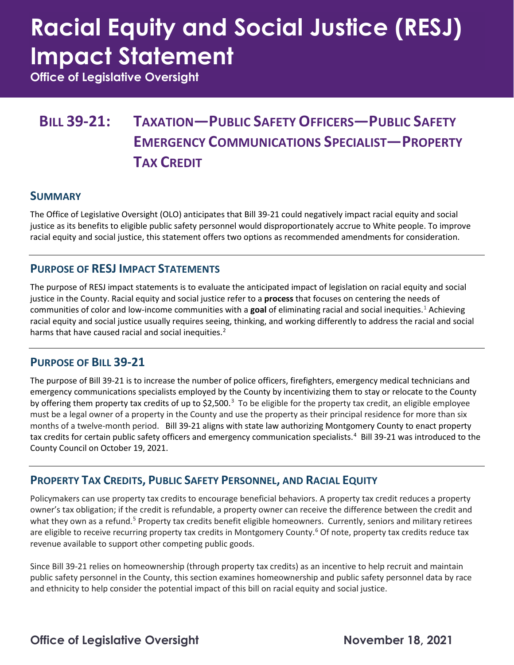# **Racial Equity and Social Justice (RESJ) Impact Statement**

**Office of Legislative Oversight**

### **BILL 39-21: TAXATION—PUBLIC SAFETY OFFICERS—PUBLIC SAFETY EMERGENCY COMMUNICATIONS SPECIALIST—PROPERTY TAX CREDIT**

#### **SUMMARY**

The Office of Legislative Oversight (OLO) anticipates that Bill 39-21 could negatively impact racial equity and social justice as its benefits to eligible public safety personnel would disproportionately accrue to White people. To improve racial equity and social justice, this statement offers two options as recommended amendments for consideration.

#### **PURPOSE OF RESJ IMPACT STATEMENTS**

The purpose of RESJ impact statements is to evaluate the anticipated impact of legislation on racial equity and social justice in the County. Racial equity and social justice refer to a **process** that focuses on centering the needs of communities of color and low-income communities with a **goal** of eliminating racial and social inequities.[1](#page-4-0) Achieving racial equity and social justice usually requires seeing, thinking, and working differently to address the racial and social harms that have caused racial and social inequities.<sup>[2](#page-4-1)</sup>

#### **PURPOSE OF BILL 39-21**

The purpose of Bill 39-21 is to increase the number of police officers, firefighters, emergency medical technicians and emergency communications specialists employed by the County by incentivizing them to stay or relocate to the County by offering them property tax credits of up to \$2,500.<sup>[3](#page-4-2)</sup> To be eligible for the property tax credit, an eligible employee must be a legal owner of a property in the County and use the property as their principal residence for more than six months of a twelve-month period. Bill 39-21 aligns with state law authorizing Montgomery County to enact property tax credits for certain public safety officers and emergency communication specialists.<sup>[4](#page-4-3)</sup> Bill 39-21 was introduced to the County Council on October 19, 2021.

#### **PROPERTY TAX CREDITS, PUBLIC SAFETY PERSONNEL, AND RACIAL EQUITY**

Policymakers can use property tax credits to encourage beneficial behaviors. A property tax credit reduces a property owner's tax obligation; if the credit is refundable, a property owner can receive the difference between the credit and what they own as a refund.<sup>[5](#page-4-4)</sup> Property tax credits benefit eligible homeowners. Currently, seniors and military retirees are eligible to receive recurring property tax credits in Montgomery County.<sup>[6](#page-4-5)</sup> Of note, property tax credits reduce tax revenue available to support other competing public goods.

Since Bill 39-21 relies on homeownership (through property tax credits) as an incentive to help recruit and maintain public safety personnel in the County, this section examines homeownership and public safety personnel data by race and ethnicity to help consider the potential impact of this bill on racial equity and social justice.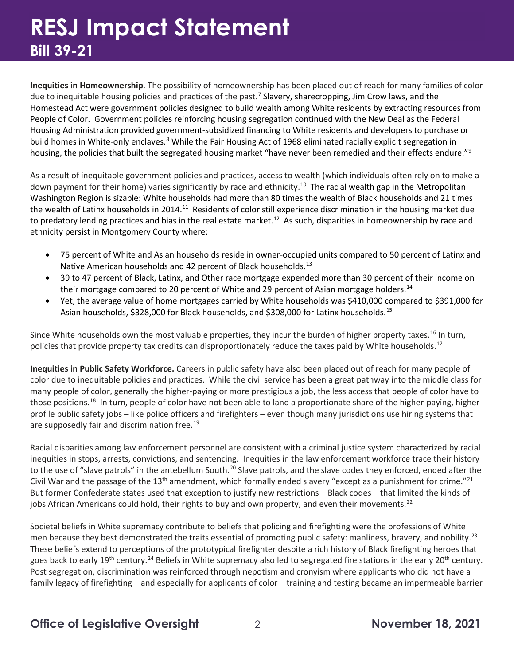## **RESJ Impact Statement Bill 39-21**

**Inequities in Homeownership**. The possibility of homeownership has been placed out of reach for many families of color due to inequitable housing policies and practices of the past.<sup>[7](#page-4-6)</sup> Slavery, sharecropping, Jim Crow laws, and the Homestead Act were government policies designed to build wealth among White residents by extracting resources from People of Color. Government policies reinforcing housing segregation continued with the New Deal as the Federal Housing Administration provided government-subsidized financing to White residents and developers to purchase or build homes in White-only enclaves.<sup>[8](#page-4-7)</sup> While the Fair Housing Act of 1968 eliminated racially explicit segregation in housing, the policies that built the segregated housing market "have never been remedied and their effects endure."<sup>[9](#page-4-8)</sup>

As a result of inequitable government policies and practices, access to wealth (which individuals often rely on to make a down payment for their home) varies significantly by race and ethnicity.<sup>[10](#page-4-9)</sup> The racial wealth gap in the Metropolitan Washington Region is sizable: White households had more than 80 times the wealth of Black households and 21 times the wealth of Latinx households in 2014.<sup>11</sup> Residents of color still experience discrimination in the housing market due to predatory lending practices and bias in the real estate market.<sup>[12](#page-4-11)</sup> As such, disparities in homeownership by race and ethnicity persist in Montgomery County where:

- 75 percent of White and Asian households reside in owner-occupied units compared to 50 percent of Latinx and Native American households and 42 percent of Black households.<sup>[13](#page-4-12)</sup>
- 39 to 47 percent of Black, Latinx, and Other race mortgage expended more than 30 percent of their income on their mortgage compared to 20 percent of White and 29 percent of Asian mortgage holders.<sup>14</sup>
- Yet, the average value of home mortgages carried by White households was \$410,000 compared to \$391,000 for Asian households, \$328,000 for Black households, and \$308,000 for Latinx households.<sup>[15](#page-4-14)</sup>

Since White households own the most valuable properties, they incur the burden of higher property taxes.<sup>[16](#page-4-15)</sup> In turn, policies that provide property tax credits can disproportionately reduce the taxes paid by White households.<sup>[17](#page-4-16)</sup>

**Inequities in Public Safety Workforce.** Careers in public safety have also been placed out of reach for many people of color due to inequitable policies and practices. While the civil service has been a great pathway into the middle class for many people of color, generally the higher-paying or more prestigious a job, the less access that people of color have to those positions.<sup>[18](#page-4-17)</sup> In turn, people of color have not been able to land a proportionate share of the higher-paying, higherprofile public safety jobs – like police officers and firefighters – even though many jurisdictions use hiring systems that are supposedly fair and discrimination free.<sup>[19](#page-4-18)</sup>

Racial disparities among law enforcement personnel are consistent with a criminal justice system characterized by racial inequities in stops, arrests, convictions, and sentencing. Inequities in the law enforcement workforce trace their history to the use of "slave patrols" in the antebellum South.<sup>[20](#page-4-19)</sup> Slave patrols, and the slave codes they enforced, ended after the Civil War and the passage of the 13<sup>th</sup> amendment, which formally ended slavery "except as a punishment for crime."<sup>[21](#page-4-20)</sup> But former Confederate states used that exception to justify new restrictions – Black codes – that limited the kinds of jobs African Americans could hold, their rights to buy and own property, and even their movements.<sup>22</sup>

Societal beliefs in White supremacy contribute to beliefs that policing and firefighting were the professions of White men because they best demonstrated the traits essential of promoting public safety: manliness, bravery, and nobility.<sup>[23](#page-4-22)</sup> These beliefs extend to perceptions of the prototypical firefighter despite a rich history of Black firefighting heroes that goes back to early 19<sup>th</sup> century.<sup>[24](#page-4-23)</sup> Beliefs in White supremacy also led to segregated fire stations in the early 20<sup>th</sup> century. Post segregation, discrimination was reinforced through nepotism and cronyism where applicants who did not have a family legacy of firefighting – and especially for applicants of color – training and testing became an impermeable barrier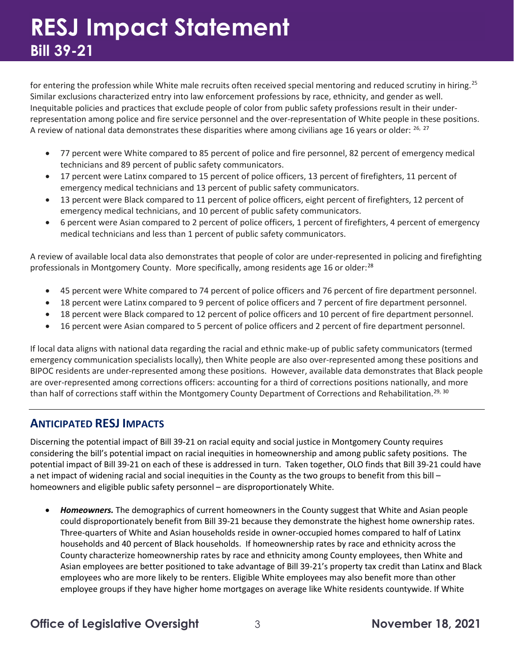for entering the profession while White male recruits often received special mentoring and reduced scrutiny in hiring.<sup>25</sup> Similar exclusions characterized entry into law enforcement professions by race, ethnicity, and gender as well. Inequitable policies and practices that exclude people of color from public safety professions result in their underrepresentation among police and fire service personnel and the over-representation of White people in these positions. A review of national data demonstrates these disparities where among civilians age 16 years or older:  $^{26, 27}$  $^{26, 27}$  $^{26, 27}$  $^{26, 27}$  $^{26, 27}$ 

- 77 percent were White compared to 85 percent of police and fire personnel, 82 percent of emergency medical technicians and 89 percent of public safety communicators.
- 17 percent were Latinx compared to 15 percent of police officers, 13 percent of firefighters, 11 percent of emergency medical technicians and 13 percent of public safety communicators.
- 13 percent were Black compared to 11 percent of police officers, eight percent of firefighters, 12 percent of emergency medical technicians, and 10 percent of public safety communicators.
- 6 percent were Asian compared to 2 percent of police officers, 1 percent of firefighters, 4 percent of emergency medical technicians and less than 1 percent of public safety communicators.

A review of available local data also demonstrates that people of color are under-represented in policing and firefighting professionals in Montgomery County. More specifically, among residents age 16 or older:<sup>[28](#page-4-27)</sup>

- 45 percent were White compared to 74 percent of police officers and 76 percent of fire department personnel.
- 18 percent were Latinx compared to 9 percent of police officers and 7 percent of fire department personnel.
- 18 percent were Black compared to 12 percent of police officers and 10 percent of fire department personnel.
- 16 percent were Asian compared to 5 percent of police officers and 2 percent of fire department personnel.

If local data aligns with national data regarding the racial and ethnic make-up of public safety communicators (termed emergency communication specialists locally), then White people are also over-represented among these positions and BIPOC residents are under-represented among these positions. However, available data demonstrates that Black people are over-represented among corrections officers: accounting for a third of corrections positions nationally, and more than half of corrections staff within the Montgomery County Department of Corrections and Rehabilitation.<sup>[29,](#page-4-28) [30](#page-5-0)</sup>

#### **ANTICIPATED RESJ IMPACTS**

Discerning the potential impact of Bill 39-21 on racial equity and social justice in Montgomery County requires considering the bill's potential impact on racial inequities in homeownership and among public safety positions. The potential impact of Bill 39-21 on each of these is addressed in turn. Taken together, OLO finds that Bill 39-21 could have a net impact of widening racial and social inequities in the County as the two groups to benefit from this bill – homeowners and eligible public safety personnel – are disproportionately White.

• *Homeowners.* The demographics of current homeowners in the County suggest that White and Asian people could disproportionately benefit from Bill 39-21 because they demonstrate the highest home ownership rates. Three-quarters of White and Asian households reside in owner-occupied homes compared to half of Latinx households and 40 percent of Black households. If homeownership rates by race and ethnicity across the County characterize homeownership rates by race and ethnicity among County employees, then White and Asian employees are better positioned to take advantage of Bill 39-21's property tax credit than Latinx and Black employees who are more likely to be renters. Eligible White employees may also benefit more than other employee groups if they have higher home mortgages on average like White residents countywide. If White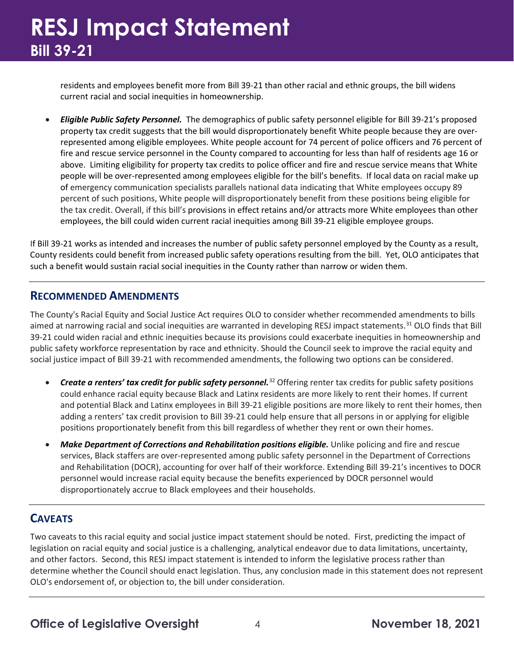## **RESJ Impact Statement Bill 39-21**

residents and employees benefit more from Bill 39-21 than other racial and ethnic groups, the bill widens current racial and social inequities in homeownership.

• *Eligible Public Safety Personnel.* The demographics of public safety personnel eligible for Bill 39-21's proposed property tax credit suggests that the bill would disproportionately benefit White people because they are overrepresented among eligible employees. White people account for 74 percent of police officers and 76 percent of fire and rescue service personnel in the County compared to accounting for less than half of residents age 16 or above. Limiting eligibility for property tax credits to police officer and fire and rescue service means that White people will be over-represented among employees eligible for the bill's benefits. If local data on racial make up of emergency communication specialists parallels national data indicating that White employees occupy 89 percent of such positions, White people will disproportionately benefit from these positions being eligible for the tax credit. Overall, if this bill's provisions in effect retains and/or attracts more White employees than other employees, the bill could widen current racial inequities among Bill 39-21 eligible employee groups.

If Bill 39-21 works as intended and increases the number of public safety personnel employed by the County as a result, County residents could benefit from increased public safety operations resulting from the bill. Yet, OLO anticipates that such a benefit would sustain racial social inequities in the County rather than narrow or widen them.

#### **RECOMMENDED AMENDMENTS**

The County's Racial Equity and Social Justice Act requires OLO to consider whether recommended amendments to bills aimed at narrowing racial and social inequities are warranted in developing RESJ impact statements.<sup>[31](#page-5-1)</sup> OLO finds that Bill 39-21 could widen racial and ethnic inequities because its provisions could exacerbate inequities in homeownership and public safety workforce representation by race and ethnicity. Should the Council seek to improve the racial equity and social justice impact of Bill 39-21 with recommended amendments, the following two options can be considered.

- *Create a renters' tax credit for public safety personnel.*[32](#page-5-2) Offering renter tax credits for public safety positions could enhance racial equity because Black and Latinx residents are more likely to rent their homes. If current and potential Black and Latinx employees in Bill 39-21 eligible positions are more likely to rent their homes, then adding a renters' tax credit provision to Bill 39-21 could help ensure that all persons in or applying for eligible positions proportionately benefit from this bill regardless of whether they rent or own their homes.
- *Make Department of Corrections and Rehabilitation positions eligible.* Unlike policing and fire and rescue services, Black staffers are over-represented among public safety personnel in the Department of Corrections and Rehabilitation (DOCR), accounting for over half of their workforce. Extending Bill 39-21's incentives to DOCR personnel would increase racial equity because the benefits experienced by DOCR personnel would disproportionately accrue to Black employees and their households.

#### **CAVEATS**

Two caveats to this racial equity and social justice impact statement should be noted. First, predicting the impact of legislation on racial equity and social justice is a challenging, analytical endeavor due to data limitations, uncertainty, and other factors. Second, this RESJ impact statement is intended to inform the legislative process rather than determine whether the Council should enact legislation. Thus, any conclusion made in this statement does not represent OLO's endorsement of, or objection to, the bill under consideration.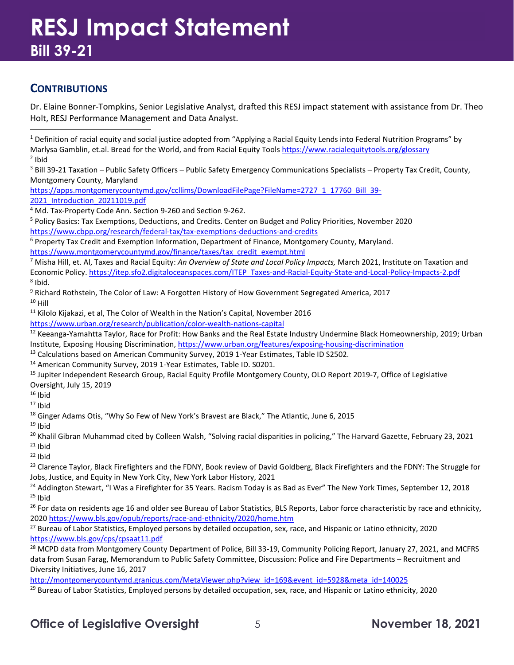### **RESJ Impact Statement Bill 39-21**

#### **CONTRIBUTIONS**

Dr. Elaine Bonner-Tompkins, Senior Legislative Analyst, drafted this RESJ impact statement with assistance from Dr. Theo Holt, RESJ Performance Management and Data Analyst.

<span id="page-4-0"></span> $1$  Definition of racial equity and social justice adopted from "Applying a Racial Equity Lends into Federal Nutrition Programs" by Marlysa Gamblin, et.al. Bread for the World, and from Racial Equity Tools<https://www.racialequitytools.org/glossary>  $<sup>2</sup>$  Ibid</sup>

<span id="page-4-2"></span><span id="page-4-1"></span> $3$  Bill 39-21 Taxation – Public Safety Officers – Public Safety Emergency Communications Specialists – Property Tax Credit, County, Montgomery County, Maryland

[https://apps.montgomerycountymd.gov/ccllims/DownloadFilePage?FileName=2727\\_1\\_17760\\_Bill\\_39-](https://apps.montgomerycountymd.gov/ccllims/DownloadFilePage?FileName=2727_1_17760_Bill_39-2021_Introduction_20211019.pdf) [2021\\_Introduction\\_20211019.pdf](https://apps.montgomerycountymd.gov/ccllims/DownloadFilePage?FileName=2727_1_17760_Bill_39-2021_Introduction_20211019.pdf)

<span id="page-4-3"></span><sup>4</sup> Md. Tax-Property Code Ann. Section 9-260 and Section 9-262.

<span id="page-4-4"></span><sup>5</sup> Policy Basics: Tax Exemptions, Deductions, and Credits. Center on Budget and Policy Priorities, November 2020 <https://www.cbpp.org/research/federal-tax/tax-exemptions-deductions-and-credits>

<span id="page-4-5"></span><sup>6</sup> Property Tax Credit and Exemption Information, Department of Finance, Montgomery County, Maryland. [https://www.montgomerycountymd.gov/finance/taxes/tax\\_credit\\_exempt.html](https://www.montgomerycountymd.gov/finance/taxes/tax_credit_exempt.html)

<span id="page-4-6"></span><sup>7</sup> Misha Hill, et. Al, Taxes and Racial Equity: *An Overview of State and Local Policy Impacts,* March 2021, Institute on Taxation and Economic Policy. [https://itep.sfo2.digitaloceanspaces.com/ITEP\\_Taxes-and-Racial-Equity-State-and-Local-Policy-Impacts-2.pdf](https://itep.sfo2.digitaloceanspaces.com/ITEP_Taxes-and-Racial-Equity-State-and-Local-Policy-Impacts-2.pdf)  $8$  Ibid.

<span id="page-4-9"></span><span id="page-4-8"></span><span id="page-4-7"></span><sup>9</sup> Richard Rothstein, The Color of Law: A Forgotten History of How Government Segregated America, 2017  $10$  Hill

<span id="page-4-10"></span><sup>11</sup> Kilolo Kijakazi, et al, The Color of Wealth in the Nation's Capital, November 2016

<https://www.urban.org/research/publication/color-wealth-nations-capital>

<span id="page-4-11"></span><sup>12</sup> Keeanga-Yamahtta Taylor, Race for Profit: How Banks and the Real Estate Industry Undermine Black Homeownership, 2019; Urban Institute, Exposing Housing Discrimination,<https://www.urban.org/features/exposing-housing-discrimination>

<span id="page-4-12"></span><sup>13</sup> Calculations based on American Community Survey, 2019 1-Year Estimates, Table ID S2502.

<span id="page-4-13"></span><sup>14</sup> American Community Survey, 2019 1-Year Estimates, Table ID. S0201.

<span id="page-4-14"></span><sup>15</sup> Jupiter Independent Research Group, Racial Equity Profile Montgomery County, OLO Report 2019-7, Office of Legislative Oversight, July 15, 2019

<span id="page-4-15"></span> $16$  Ibid

<span id="page-4-16"></span> $17$  Ibid

<span id="page-4-17"></span><sup>18</sup> Ginger Adams Otis, "Why So Few of New York's Bravest are Black," The Atlantic, June 6, 2015

<span id="page-4-18"></span> $19$  Ibid

<span id="page-4-19"></span> $^{20}$  Khalil Gibran Muhammad cited by Colleen Walsh, "Solving racial disparities in policing," The Harvard Gazette, February 23, 2021

<span id="page-4-20"></span> $21$  Ibid  $22$  Ibid

<span id="page-4-22"></span><span id="page-4-21"></span><sup>23</sup> Clarence Taylor, Black Firefighters and the FDNY, Book review of David Goldberg, Black Firefighters and the FDNY: The Struggle for Jobs, Justice, and Equity in New York City, New York Labor History, 2021

<span id="page-4-24"></span><span id="page-4-23"></span><sup>24</sup> Addington Stewart, "I Was a Firefighter for 35 Years. Racism Today is as Bad as Ever" The New York Times, September 12, 2018  $25$  Ibid

<span id="page-4-25"></span><sup>26</sup> For data on residents age 16 and older see Bureau of Labor Statistics, BLS Reports, Labor force characteristic by race and ethnicity, 2020 <https://www.bls.gov/opub/reports/race-and-ethnicity/2020/home.htm>

<span id="page-4-26"></span><sup>27</sup> Bureau of Labor Statistics, Employed persons by detailed occupation, sex, race, and Hispanic or Latino ethnicity, 2020 <https://www.bls.gov/cps/cpsaat11.pdf>

<span id="page-4-27"></span><sup>28</sup> MCPD data from Montgomery County Department of Police, Bill 33-19, Community Policing Report, January 27, 2021, and MCFRS data from Susan Farag, Memorandum to Public Safety Committee, Discussion: Police and Fire Departments – Recruitment and Diversity Initiatives, June 16, 2017

[http://montgomerycountymd.granicus.com/MetaViewer.php?view\\_id=169&event\\_id=5928&meta\\_id=140025](http://montgomerycountymd.granicus.com/MetaViewer.php?view_id=169&event_id=5928&meta_id=140025)

<span id="page-4-28"></span><sup>29</sup> Bureau of Labor Statistics, Employed persons by detailed occupation, sex, race, and Hispanic or Latino ethnicity, 2020